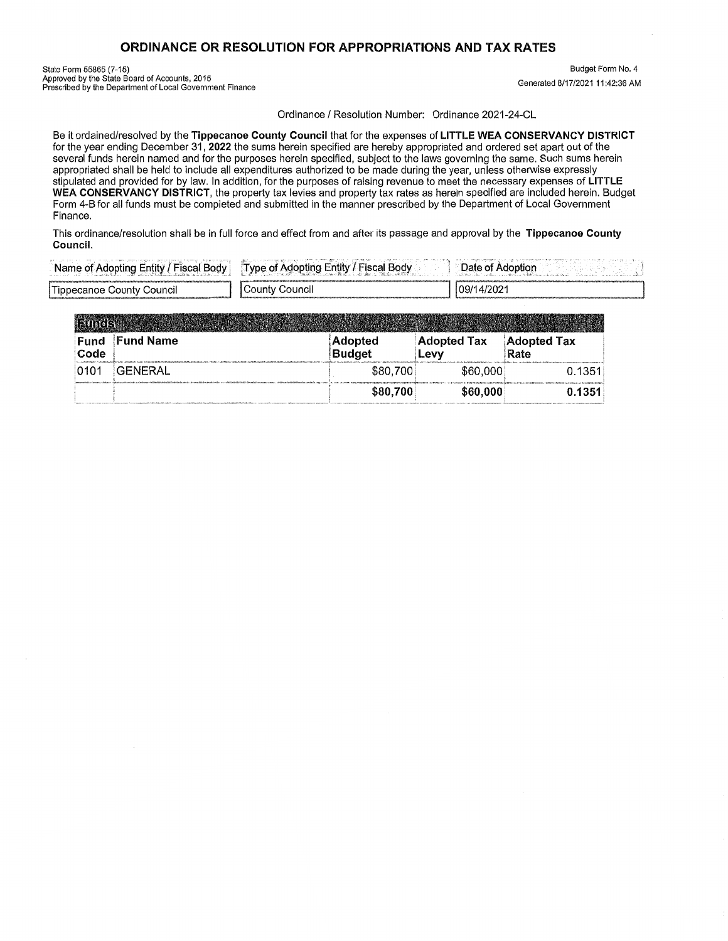## ORDINANCE OR RESOLUTION FOR **APPROPRIATIONS** AND TAX RATES

State Form 55865 (7-15) Budget Form No.4 Approved by the State **Board** of Accounts, 2015 *'* ' Approved by the State Board of Accounts, 2015<br>Prescribed by the Department of Local Government Finance Generation of State Generated 8/17/2021 11:42:36 AM

Ordinance **/** Resolution Number: Ordinance 2021-24-CL

Be it ordained/resolved by the **Tippecanoe County Council** that for the expenses of **LITTLE** WEA CONSERVANCY **DISTRICT**  for the year ending December 31, **2022** the **sums** herein specified are hereby appropriated and ordered set apart out of the several funds herein named and for the **purposes** herein specified, **subject** to the laws governing the same. Such sums herein appropriated shall be held to include all expenditures authorized to be made during the year, unless otherwise expressly stipulated and provided for by law. In addition. for the purposes of raising revenue to meet the necessary expenses of **LITTLE**  WEA **CONSERVANCY DISTRICT.** the property tax levies and **property** tax **rates** as hereln speclfied are included herein. Budget Form 4-8 for all funds **must** be completed and submitted In the manner **prescribed** by the Department of Local Government Finance.

**This** ordinance/resolution shall be in **full** force and effect from and after its passage and approval by the **Tlppecanoe County Councll.** 

| - Bodv                      | Tyne        | )ate         |
|-----------------------------|-------------|--------------|
| Fntity.                     | -ntity      | .            |
| Name                        | <b>BOOV</b> |              |
| --                          | :∩⊔nt\      | 09/14/2021   |
| ' Hippecanoe County Council | uncil       | 001010000000 |

| Fund<br>Code | <b>Fund Name</b> | Adopted<br><b>Budget</b> | <b>Adopted Tax</b><br>Levy | <b>Adopted Tax</b><br>Rate |  |
|--------------|------------------|--------------------------|----------------------------|----------------------------|--|
| 0101         | <b>GENERAL</b>   | \$80,700                 | \$60,000                   | 0.1351                     |  |
|              |                  | \$80,700                 | \$60,000                   | 0.1351                     |  |